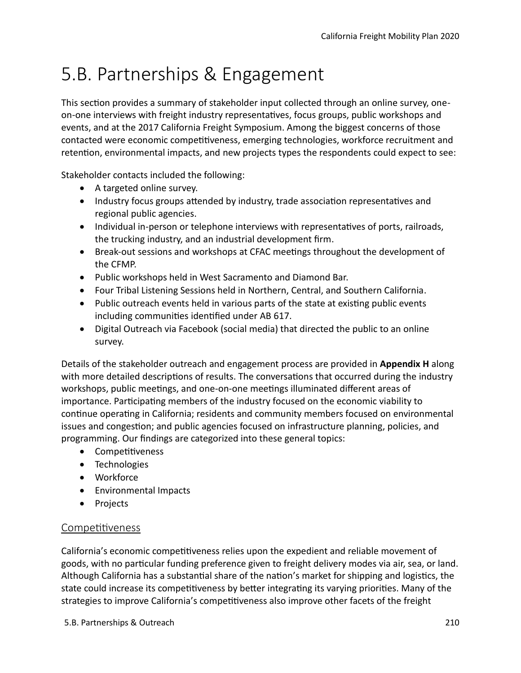# 5.B. Partnerships & Engagement

This section provides a summary of stakeholder input collected through an online survey, oneon-one interviews with freight industry representatves, focus groups, public workshops and events, and at the 2017 California Freight Symposium. Among the biggest concerns of those contacted were economic competitiveness, emerging technologies, workforce recruitment and retenton, environmental impacts, and new projects types the respondents could expect to see:

Stakeholder contacts included the following:

- A targeted online survey.
- Industry focus groups attended by industry, trade association representatives and regional public agencies.
- Individual in-person or telephone interviews with representatives of ports, railroads, the trucking industry, and an industrial development frm.
- Break-out sessions and workshops at CFAC meetngs throughout the development of the CFMP.
- Public workshops held in West Sacramento and Diamond Bar.
- Four Tribal Listening Sessions held in Northern, Central, and Southern California.
- Public outreach events held in various parts of the state at existing public events including communities identified under AB 617.
- Digital Outreach via Facebook (social media) that directed the public to an online survey.

Details of the stakeholder outreach and engagement process are provided in **Appendix H** along with more detailed descriptions of results. The conversations that occurred during the industry workshops, public meetings, and one-on-one meetings illuminated different areas of importance. Participating members of the industry focused on the economic viability to continue operating in California; residents and community members focused on environmental issues and congeston; and public agencies focused on infrastructure planning, policies, and programming. Our fndings are categorized into these general topics:

- Competitiveness
- Technologies
- Workforce
- Environmental Impacts
- Projects

## Competitiveness

California's economic competitiveness relies upon the expedient and reliable movement of goods, with no partcular funding preference given to freight delivery modes via air, sea, or land. Although California has a substantial share of the nation's market for shipping and logistics, the state could increase its competitiveness by better integrating its varying priorities. Many of the strategies to improve California's competitiveness also improve other facets of the freight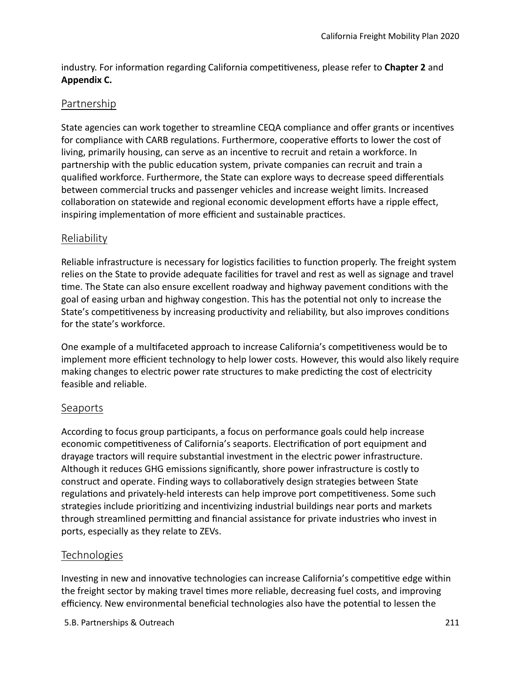industry. For information regarding California competitiveness, please refer to **Chapter 2** and **Appendix C.**

## Partnership

State agencies can work together to streamline CEQA compliance and ofer grants or incentves for compliance with CARB regulations. Furthermore, cooperative efforts to lower the cost of living, primarily housing, can serve as an incentive to recruit and retain a workforce. In partnership with the public education system, private companies can recruit and train a qualifed workforce. Furthermore, the State can explore ways to decrease speed diferentals between commercial trucks and passenger vehicles and increase weight limits. Increased collaboration on statewide and regional economic development efforts have a ripple effect, inspiring implementation of more efficient and sustainable practices.

#### Reliability

Reliable infrastructure is necessary for logistics facilities to function properly. The freight system relies on the State to provide adequate facilites for travel and rest as well as signage and travel tme. The State can also ensure excellent roadway and highway pavement conditons with the goal of easing urban and highway congeston. This has the potental not only to increase the State's competitiveness by increasing productivity and reliability, but also improves conditions for the state's workforce.

One example of a multifaceted approach to increase California's competitiveness would be to implement more efficient technology to help lower costs. However, this would also likely require making changes to electric power rate structures to make predicting the cost of electricity feasible and reliable.

#### **Seaports**

According to focus group partcipants, a focus on performance goals could help increase economic competitiveness of California's seaports. Electrification of port equipment and drayage tractors will require substantal investment in the electric power infrastructure. Although it reduces GHG emissions signifcantly, shore power infrastructure is costly to construct and operate. Finding ways to collaboratively design strategies between State regulations and privately-held interests can help improve port competitiveness. Some such strategies include prioritzing and incentvizing industrial buildings near ports and markets through streamlined permitting and financial assistance for private industries who invest in ports, especially as they relate to ZEVs.

## Technologies

Investing in new and innovative technologies can increase California's competitive edge within the freight sector by making travel tmes more reliable, decreasing fuel costs, and improving efficiency. New environmental beneficial technologies also have the potential to lessen the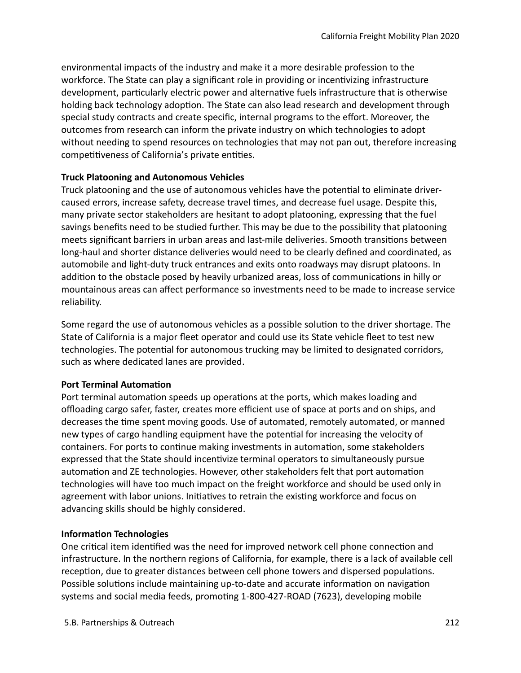environmental impacts of the industry and make it a more desirable profession to the workforce. The State can play a significant role in providing or incentivizing infrastructure development, particularly electric power and alternative fuels infrastructure that is otherwise holding back technology adoption. The State can also lead research and development through special study contracts and create specific, internal programs to the effort. Moreover, the outcomes from research can inform the private industry on which technologies to adopt without needing to spend resources on technologies that may not pan out, therefore increasing competitiveness of California's private entities.

#### **Truck Platooning and Autonomous Vehicles**

Truck platooning and the use of autonomous vehicles have the potental to eliminate drivercaused errors, increase safety, decrease travel tmes, and decrease fuel usage. Despite this, many private sector stakeholders are hesitant to adopt platooning, expressing that the fuel savings benefts need to be studied further. This may be due to the possibility that platooning meets signifcant barriers in urban areas and last-mile deliveries. Smooth transitons between long-haul and shorter distance deliveries would need to be clearly defned and coordinated, as automobile and light-duty truck entrances and exits onto roadways may disrupt platoons. In additon to the obstacle posed by heavily urbanized areas, loss of communicatons in hilly or mountainous areas can afect performance so investments need to be made to increase service reliability.

Some regard the use of autonomous vehicles as a possible solution to the driver shortage. The State of California is a major feet operator and could use its State vehicle feet to test new technologies. The potental for autonomous trucking may be limited to designated corridors, such as where dedicated lanes are provided.

#### **Port Terminal Automation**

Port terminal automation speeds up operations at the ports, which makes loading and offloading cargo safer, faster, creates more efficient use of space at ports and on ships, and decreases the tme spent moving goods. Use of automated, remotely automated, or manned new types of cargo handling equipment have the potental for increasing the velocity of containers. For ports to continue making investments in automation, some stakeholders expressed that the State should incentivize terminal operators to simultaneously pursue automation and ZE technologies. However, other stakeholders felt that port automation technologies will have too much impact on the freight workforce and should be used only in agreement with labor unions. Initatves to retrain the existng workforce and focus on advancing skills should be highly considered.

#### **Information Technologies**

One critical item identified was the need for improved network cell phone connection and infrastructure. In the northern regions of California, for example, there is a lack of available cell recepton, due to greater distances between cell phone towers and dispersed populatons. Possible solutions include maintaining up-to-date and accurate information on navigation systems and social media feeds, promoting 1-800-427-ROAD (7623), developing mobile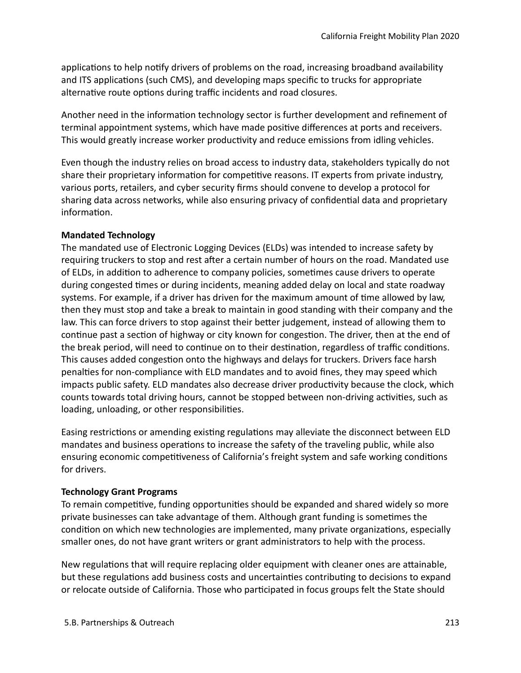applications to help notify drivers of problems on the road, increasing broadband availability and ITS applications (such CMS), and developing maps specific to trucks for appropriate alternative route options during traffic incidents and road closures.

Another need in the information technology sector is further development and refinement of terminal appointment systems, which have made positve diferences at ports and receivers. This would greatly increase worker productivity and reduce emissions from idling vehicles.

Even though the industry relies on broad access to industry data, stakeholders typically do not share their proprietary information for competitive reasons. IT experts from private industry, various ports, retailers, and cyber security frms should convene to develop a protocol for sharing data across networks, while also ensuring privacy of confdental data and proprietary information.

#### **Mandated Technology**

The mandated use of Electronic Logging Devices (ELDs) was intended to increase safety by requiring truckers to stop and rest after a certain number of hours on the road. Mandated use of ELDs, in additon to adherence to company policies, sometmes cause drivers to operate during congested tmes or during incidents, meaning added delay on local and state roadway systems. For example, if a driver has driven for the maximum amount of time allowed by law, then they must stop and take a break to maintain in good standing with their company and the law. This can force drivers to stop against their better judgement, instead of allowing them to continue past a section of highway or city known for congestion. The driver, then at the end of the break period, will need to continue on to their destination, regardless of traffic conditions. This causes added congestion onto the highways and delays for truckers. Drivers face harsh penalties for non-compliance with ELD mandates and to avoid fines, they may speed which impacts public safety. ELD mandates also decrease driver productivity because the clock, which counts towards total driving hours, cannot be stopped between non-driving activities, such as loading, unloading, or other responsibilities.

Easing restrictions or amending existing regulations may alleviate the disconnect between ELD mandates and business operations to increase the safety of the traveling public, while also ensuring economic competitiveness of California's freight system and safe working conditions for drivers.

#### **Technology Grant Programs**

To remain competitive, funding opportunities should be expanded and shared widely so more private businesses can take advantage of them. Although grant funding is sometmes the condition on which new technologies are implemented, many private organizations, especially smaller ones, do not have grant writers or grant administrators to help with the process.

New regulations that will require replacing older equipment with cleaner ones are attainable, but these regulations add business costs and uncertainties contributing to decisions to expand or relocate outside of California. Those who partcipated in focus groups felt the State should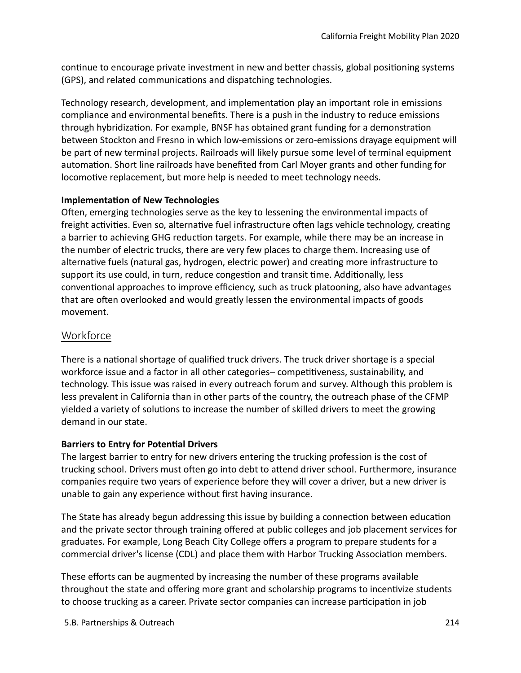continue to encourage private investment in new and better chassis, global positioning systems (GPS), and related communicatons and dispatching technologies.

Technology research, development, and implementation play an important role in emissions compliance and environmental benefts. There is a push in the industry to reduce emissions through hybridizaton. For example, BNSF has obtained grant funding for a demonstraton between Stockton and Fresno in which low-emissions or zero-emissions drayage equipment will be part of new terminal projects. Railroads will likely pursue some level of terminal equipment automation. Short line railroads have benefited from Carl Moyer grants and other funding for locomotive replacement, but more help is needed to meet technology needs.

#### **Implementaton of New Technologies**

Ofen, emerging technologies serve as the key to lessening the environmental impacts of freight activities. Even so, alternative fuel infrastructure often lags vehicle technology, creating a barrier to achieving GHG reduction targets. For example, while there may be an increase in the number of electric trucks, there are very few places to charge them. Increasing use of alternative fuels (natural gas, hydrogen, electric power) and creating more infrastructure to support its use could, in turn, reduce congestion and transit time. Additionally, less conventional approaches to improve efficiency, such as truck platooning, also have advantages that are often overlooked and would greatly lessen the environmental impacts of goods movement.

# Workforce

There is a national shortage of qualified truck drivers. The truck driver shortage is a special workforce issue and a factor in all other categories– competitiveness, sustainability, and technology. This issue was raised in every outreach forum and survey. Although this problem is less prevalent in California than in other parts of the country, the outreach phase of the CFMP yielded a variety of solutons to increase the number of skilled drivers to meet the growing demand in our state.

#### **Barriers to Entry for Potental Drivers**

The largest barrier to entry for new drivers entering the trucking profession is the cost of trucking school. Drivers must ofen go into debt to atend driver school. Furthermore, insurance companies require two years of experience before they will cover a driver, but a new driver is unable to gain any experience without frst having insurance.

The State has already begun addressing this issue by building a connection between education and the private sector through training offered at public colleges and job placement services for graduates. For example, Long Beach City College offers a program to prepare students for a commercial driver's license (CDL) and place them with Harbor Trucking Associaton members.

These eforts can be augmented by increasing the number of these programs available throughout the state and offering more grant and scholarship programs to incentivize students to choose trucking as a career. Private sector companies can increase partcipaton in job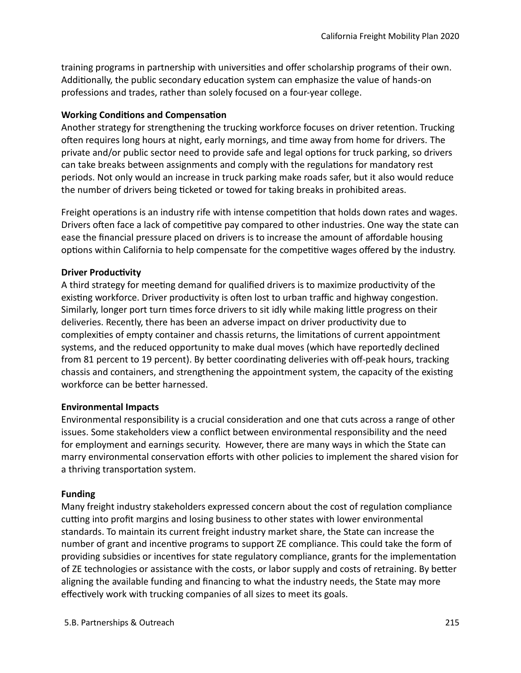training programs in partnership with universities and offer scholarship programs of their own. Additonally, the public secondary educaton system can emphasize the value of hands-on professions and trades, rather than solely focused on a four-year college.

#### **Working Conditons and Compensaton**

Another strategy for strengthening the trucking workforce focuses on driver retenton. Trucking often requires long hours at night, early mornings, and time away from home for drivers. The private and/or public sector need to provide safe and legal optons for truck parking, so drivers can take breaks between assignments and comply with the regulations for mandatory rest periods. Not only would an increase in truck parking make roads safer, but it also would reduce the number of drivers being ticketed or towed for taking breaks in prohibited areas.

Freight operations is an industry rife with intense competition that holds down rates and wages. Drivers often face a lack of competitive pay compared to other industries. One way the state can ease the financial pressure placed on drivers is to increase the amount of affordable housing options within California to help compensate for the competitive wages offered by the industry.

#### **Driver Productivity**

A third strategy for meeting demand for qualified drivers is to maximize productivity of the existing workforce. Driver productivity is often lost to urban traffic and highway congestion. Similarly, longer port turn tmes force drivers to sit idly while making litle progress on their deliveries. Recently, there has been an adverse impact on driver productivity due to complexites of empty container and chassis returns, the limitatons of current appointment systems, and the reduced opportunity to make dual moves (which have reportedly declined from 81 percent to 19 percent). By better coordinating deliveries with off-peak hours, tracking chassis and containers, and strengthening the appointment system, the capacity of the existng workforce can be better harnessed.

#### **Environmental Impacts**

Environmental responsibility is a crucial consideration and one that cuts across a range of other issues. Some stakeholders view a confict between environmental responsibility and the need for employment and earnings security. However, there are many ways in which the State can marry environmental conservation efforts with other policies to implement the shared vision for a thriving transportation system.

#### **Funding**

Many freight industry stakeholders expressed concern about the cost of regulaton compliance cutting into profit margins and losing business to other states with lower environmental standards. To maintain its current freight industry market share, the State can increase the number of grant and incentve programs to support ZE compliance. This could take the form of providing subsidies or incentves for state regulatory compliance, grants for the implementaton of ZE technologies or assistance with the costs, or labor supply and costs of retraining. By beter aligning the available funding and fnancing to what the industry needs, the State may more effectively work with trucking companies of all sizes to meet its goals.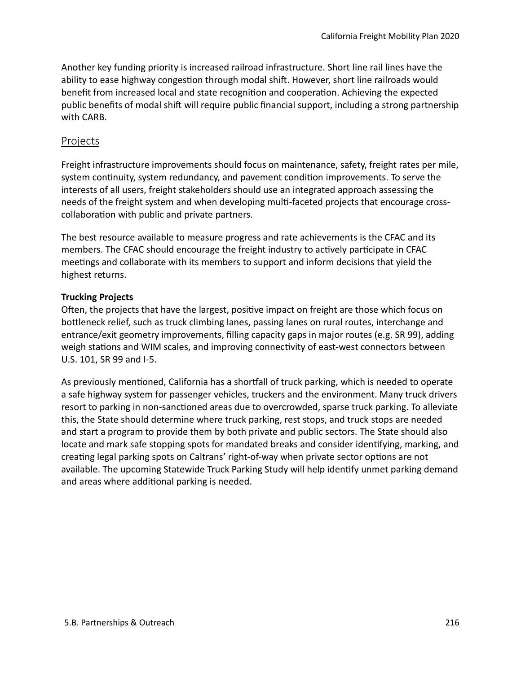Another key funding priority is increased railroad infrastructure. Short line rail lines have the ability to ease highway congestion through modal shift. However, short line railroads would beneft from increased local and state recogniton and cooperaton. Achieving the expected public benefits of modal shift will require public financial support, including a strong partnership with CARB.

### Projects

Freight infrastructure improvements should focus on maintenance, safety, freight rates per mile, system contnuity, system redundancy, and pavement conditon improvements. To serve the interests of all users, freight stakeholders should use an integrated approach assessing the needs of the freight system and when developing multi-faceted projects that encourage crosscollaboration with public and private partners.

The best resource available to measure progress and rate achievements is the CFAC and its members. The CFAC should encourage the freight industry to actively participate in CFAC meetings and collaborate with its members to support and inform decisions that yield the highest returns.

#### **Trucking Projects**

Ofen, the projects that have the largest, positve impact on freight are those which focus on bottleneck relief, such as truck climbing lanes, passing lanes on rural routes, interchange and entrance/exit geometry improvements, flling capacity gaps in major routes (e.g. SR 99), adding weigh stations and WIM scales, and improving connectivity of east-west connectors between U.S. 101, SR 99 and I-5.

As previously mentioned, California has a shortfall of truck parking, which is needed to operate a safe highway system for passenger vehicles, truckers and the environment. Many truck drivers resort to parking in non-sanctioned areas due to overcrowded, sparse truck parking. To alleviate this, the State should determine where truck parking, rest stops, and truck stops are needed and start a program to provide them by both private and public sectors. The State should also locate and mark safe stopping spots for mandated breaks and consider identfying, marking, and creatng legal parking spots on Caltrans' right-of-way when private sector optons are not available. The upcoming Statewide Truck Parking Study will help identfy unmet parking demand and areas where additonal parking is needed.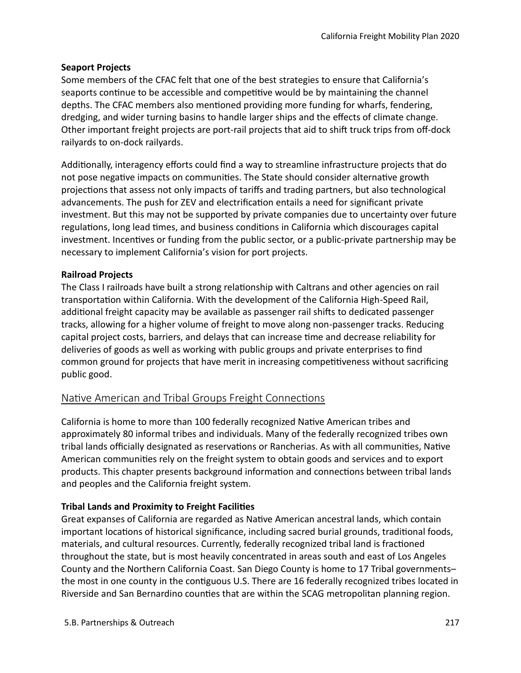#### **Seaport Projects**

Some members of the CFAC felt that one of the best strategies to ensure that California's seaports continue to be accessible and competitive would be by maintaining the channel depths. The CFAC members also mentoned providing more funding for wharfs, fendering, dredging, and wider turning basins to handle larger ships and the effects of climate change. Other important freight projects are port-rail projects that aid to shift truck trips from off-dock railyards to on-dock railyards.

Additonally, interagency eforts could fnd a way to streamline infrastructure projects that do not pose negative impacts on communities. The State should consider alternative growth projections that assess not only impacts of tariffs and trading partners, but also technological advancements. The push for ZEV and electrifcaton entails a need for signifcant private investment. But this may not be supported by private companies due to uncertainty over future regulations, long lead times, and business conditions in California which discourages capital investment. Incentves or funding from the public sector, or a public-private partnership may be necessary to implement California's vision for port projects.

#### **Railroad Projects**

The Class I railroads have built a strong relatonship with Caltrans and other agencies on rail transportaton within California. With the development of the California High-Speed Rail, additonal freight capacity may be available as passenger rail shifs to dedicated passenger tracks, allowing for a higher volume of freight to move along non-passenger tracks. Reducing capital project costs, barriers, and delays that can increase tme and decrease reliability for deliveries of goods as well as working with public groups and private enterprises to fnd common ground for projects that have merit in increasing competitiveness without sacrificing public good.

## Native American and Tribal Groups Freight Connections

California is home to more than 100 federally recognized Natve American tribes and approximately 80 informal tribes and individuals. Many of the federally recognized tribes own tribal lands officially designated as reservations or Rancherias. As with all communities, Native American communites rely on the freight system to obtain goods and services and to export products. This chapter presents background information and connections between tribal lands and peoples and the California freight system.

#### **Tribal Lands and Proximity to Freight Facilites**

Great expanses of California are regarded as Natve American ancestral lands, which contain important locations of historical significance, including sacred burial grounds, traditional foods, materials, and cultural resources. Currently, federally recognized tribal land is fractoned throughout the state, but is most heavily concentrated in areas south and east of Los Angeles County and the Northern California Coast. San Diego County is home to 17 Tribal governments– the most in one county in the contguous U.S. There are 16 federally recognized tribes located in Riverside and San Bernardino countes that are within the SCAG metropolitan planning region.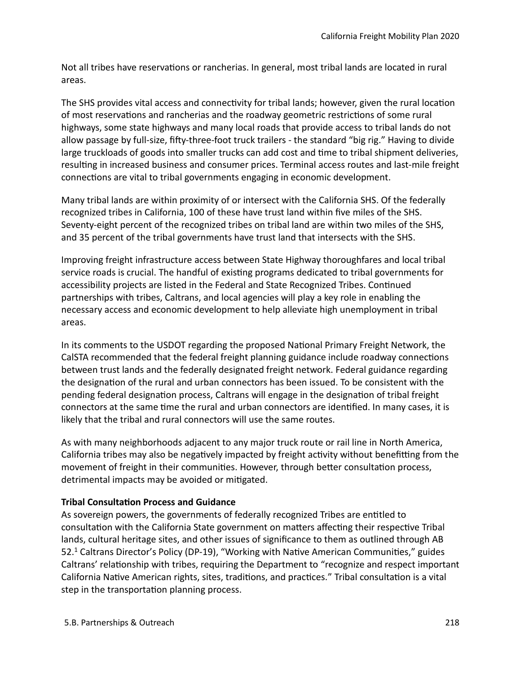Not all tribes have reservations or rancherias. In general, most tribal lands are located in rural areas.

The SHS provides vital access and connectivity for tribal lands; however, given the rural location of most reservations and rancherias and the roadway geometric restrictions of some rural highways, some state highways and many local roads that provide access to tribal lands do not allow passage by full-size, fifty-three-foot truck trailers - the standard "big rig." Having to divide large truckloads of goods into smaller trucks can add cost and tme to tribal shipment deliveries, resultng in increased business and consumer prices. Terminal access routes and last-mile freight connections are vital to tribal governments engaging in economic development.

Many tribal lands are within proximity of or intersect with the California SHS. Of the federally recognized tribes in California, 100 of these have trust land within fve miles of the SHS. Seventy-eight percent of the recognized tribes on tribal land are within two miles of the SHS, and 35 percent of the tribal governments have trust land that intersects with the SHS.

Improving freight infrastructure access between State Highway thoroughfares and local tribal service roads is crucial. The handful of existng programs dedicated to tribal governments for accessibility projects are listed in the Federal and State Recognized Tribes. Contnued partnerships with tribes, Caltrans, and local agencies will play a key role in enabling the necessary access and economic development to help alleviate high unemployment in tribal areas.

In its comments to the USDOT regarding the proposed Natonal Primary Freight Network, the CalSTA recommended that the federal freight planning guidance include roadway connections between trust lands and the federally designated freight network. Federal guidance regarding the designaton of the rural and urban connectors has been issued. To be consistent with the pending federal designaton process, Caltrans will engage in the designaton of tribal freight connectors at the same time the rural and urban connectors are identified. In many cases, it is likely that the tribal and rural connectors will use the same routes.

As with many neighborhoods adjacent to any major truck route or rail line in North America, California tribes may also be negatively impacted by freight activity without benefitting from the movement of freight in their communities. However, through better consultation process, detrimental impacts may be avoided or mitgated.

#### **Tribal Consultaton Process and Guidance**

As sovereign powers, the governments of federally recognized Tribes are enttled to consultation with the California State government on matters affecting their respective Tribal lands, cultural heritage sites, and other issues of signifcance to them as outlined through AB 52.<sup>1</sup> Caltrans Director's Policy (DP-19), "Working with Native American Communities," guides Caltrans' relationship with tribes, requiring the Department to "recognize and respect important California Native American rights, sites, traditions, and practices." Tribal consultation is a vital step in the transportaton planning process.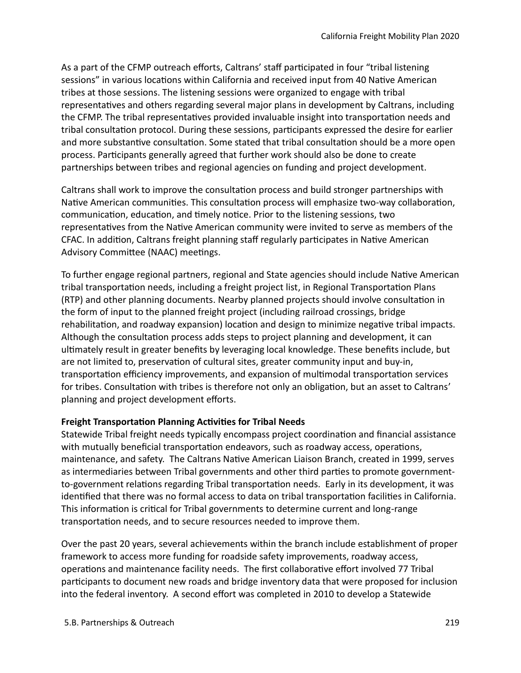As a part of the CFMP outreach efforts, Caltrans' staff participated in four "tribal listening sessions" in various locations within California and received input from 40 Native American tribes at those sessions. The listening sessions were organized to engage with tribal representatves and others regarding several major plans in development by Caltrans, including the CFMP. The tribal representatives provided invaluable insight into transportation needs and tribal consultaton protocol. During these sessions, partcipants expressed the desire for earlier and more substantive consultation. Some stated that tribal consultation should be a more open process. Partcipants generally agreed that further work should also be done to create partnerships between tribes and regional agencies on funding and project development.

Caltrans shall work to improve the consultation process and build stronger partnerships with Native American communities. This consultation process will emphasize two-way collaboration, communication, education, and timely notice. Prior to the listening sessions, two representatves from the Natve American community were invited to serve as members of the CFAC. In additon, Caltrans freight planning staf regularly partcipates in Natve American Advisory Committee (NAAC) meetings.

To further engage regional partners, regional and State agencies should include Natve American tribal transportaton needs, including a freight project list, in Regional Transportaton Plans (RTP) and other planning documents. Nearby planned projects should involve consultaton in the form of input to the planned freight project (including railroad crossings, bridge rehabilitation, and roadway expansion) location and design to minimize negative tribal impacts. Although the consultation process adds steps to project planning and development, it can ultmately result in greater benefts by leveraging local knowledge. These benefts include, but are not limited to, preservation of cultural sites, greater community input and buy-in, transportation efficiency improvements, and expansion of multimodal transportation services for tribes. Consultation with tribes is therefore not only an obligation, but an asset to Caltrans' planning and project development efforts.

#### **Freight Transportation Planning Activities for Tribal Needs**

Statewide Tribal freight needs typically encompass project coordinaton and fnancial assistance with mutually beneficial transportation endeavors, such as roadway access, operations, maintenance, and safety. The Caltrans Natve American Liaison Branch, created in 1999, serves as intermediaries between Tribal governments and other third parties to promote governmentto-government relations regarding Tribal transportation needs. Early in its development, it was identified that there was no formal access to data on tribal transportation facilities in California. This information is critical for Tribal governments to determine current and long-range transportation needs, and to secure resources needed to improve them.

Over the past 20 years, several achievements within the branch include establishment of proper framework to access more funding for roadside safety improvements, roadway access, operations and maintenance facility needs. The first collaborative effort involved 77 Tribal partcipants to document new roads and bridge inventory data that were proposed for inclusion into the federal inventory. A second effort was completed in 2010 to develop a Statewide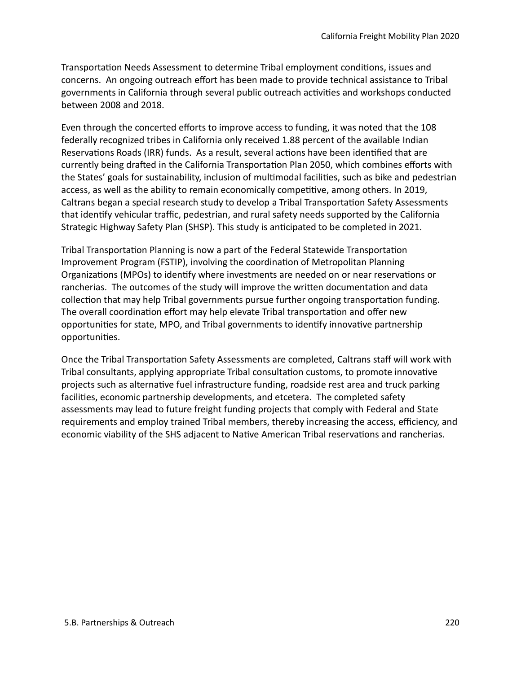Transportation Needs Assessment to determine Tribal employment conditions, issues and concerns. An ongoing outreach effort has been made to provide technical assistance to Tribal governments in California through several public outreach activities and workshops conducted between 2008 and 2018.

Even through the concerted efforts to improve access to funding, it was noted that the 108 federally recognized tribes in California only received 1.88 percent of the available Indian Reservations Roads (IRR) funds. As a result, several actions have been identified that are currently being drafed in the California Transportaton Plan 2050, which combines eforts with the States' goals for sustainability, inclusion of multimodal facilities, such as bike and pedestrian access, as well as the ability to remain economically competitive, among others. In 2019, Caltrans began a special research study to develop a Tribal Transportaton Safety Assessments that identify vehicular traffic, pedestrian, and rural safety needs supported by the California Strategic Highway Safety Plan (SHSP). This study is antcipated to be completed in 2021.

Tribal Transportaton Planning is now a part of the Federal Statewide Transportaton Improvement Program (FSTIP), involving the coordinaton of Metropolitan Planning Organizations (MPOs) to identify where investments are needed on or near reservations or rancherias. The outcomes of the study will improve the written documentation and data collection that may help Tribal governments pursue further ongoing transportation funding. The overall coordination effort may help elevate Tribal transportation and offer new opportunities for state, MPO, and Tribal governments to identify innovative partnership opportunites.

Once the Tribal Transportation Safety Assessments are completed, Caltrans staff will work with Tribal consultants, applying appropriate Tribal consultaton customs, to promote innovatve projects such as alternatve fuel infrastructure funding, roadside rest area and truck parking facilites, economic partnership developments, and etcetera. The completed safety assessments may lead to future freight funding projects that comply with Federal and State requirements and employ trained Tribal members, thereby increasing the access, efficiency, and economic viability of the SHS adjacent to Native American Tribal reservations and rancherias.